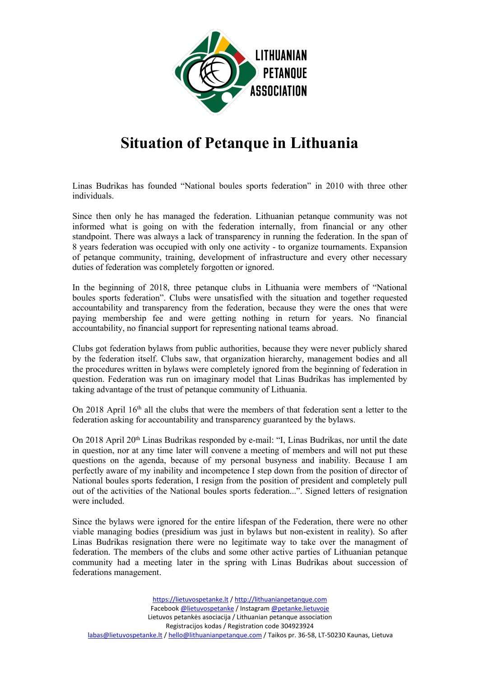

## **Situation of Petanque in Lithuania**

Linas Budrikas has founded "National boules sports federation" in 2010 with three other individuals.

Since then only he has managed the federation. Lithuanian petanque community was not informed what is going on with the federation internally, from financial or any other standpoint. There was always a lack of transparency in running the federation. In the span of 8 years federation was occupied with only one activity - to organize tournaments. Expansion of petanque community, training, development of infrastructure and every other necessary duties of federation was completely forgotten or ignored.

In the beginning of 2018, three petanque clubs in Lithuania were members of "National boules sports federation". Clubs were unsatisfied with the situation and together requested accountability and transparency from the federation, because they were the ones that were paying membership fee and were getting nothing in return for years. No financial accountability, no financial support for representing national teams abroad.

Clubs got federation bylaws from public authorities, because they were never publicly shared by the federation itself. Clubs saw, that organization hierarchy, management bodies and all the procedures written in bylaws were completely ignored from the beginning of federation in question. Federation was run on imaginary model that Linas Budrikas has implemented by taking advantage of the trust of petanque community of Lithuania.

On 2018 April 16<sup>th</sup> all the clubs that were the members of that federation sent a letter to the

federation asking for accountability and transparency guaranteed by the bylaws.<br>On 2018 April 20<sup>th</sup> Linas Budrikas responded by e-mail: "I, Linas Budrikas, nor until the date in question, nor at any time laterwill convene a meeting of members and will not put these questions on the agenda, because of my personal busyness and inability. Because I am perfectly aware of my inability and incompetence I step down from the position of director of National boules sports federation, I resign from the position of president and completely pull out of the activities of the National boules sports federation...". Signed letters of resignation were included.

Since the bylaws were ignored for the entire lifespan of the Federation, there were no other viable managing bodies (presidium was just in bylaws but non-existent in reality). So after Linas Budrikas resignation there were no legitimate way to take over the managment of federation. The members of the clubs and some other active parties of Lithuanian petanque community had a meeting later in the spring with Linas Budrikas about succession of federations management.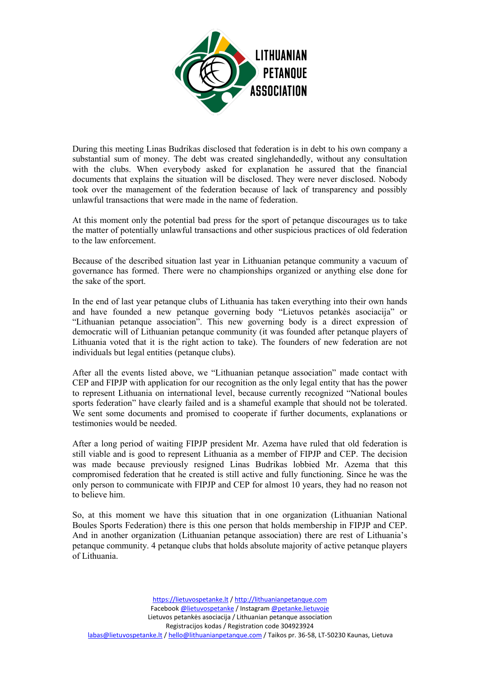

During this meeting Linas Budrikas disclosed that federation is in debt to his own company a substantial sum of money. The debt was created singlehandedly, without any consultation with the clubs. When everybody asked for explanation he assured that the financial documents that explains the situation will be disclosed. They were never disclosed. Nobody took over the management of the federation because of lack of transparency and possibly unlawful transactions that were made in the name of federation.

At this moment only the potential bad press for the sport of petanque discourages us to take the matter of potentially unlawful transactions and other suspicious practices of old federation to the law enforcement.

Because of the described situation last year in Lithuanian petanque community a vacuum of governance has formed. There were no championships organized or anything else done for the sake of the sport.

In the end of last year petanque clubs of Lithuania has taken everything into their own hands and have founded anew petanque governing body "Lietuvos petankės asociacija" or "Lithuanian petanque association". This new governing body is a direct expression of democratic will of Lithuanian petanque community (it was founded after petanque players of Lithuania voted that it is the right action to take). The founders of new federation are not individuals but legal entities (petanque clubs).

After all the events listed above, we "Lithuanian petanque association" made contact with CEP and FIPJP with application for our recognition as the only legal entity that has the power to represent Lithuania on international level, because currently recognized "Nationalboules sports federation" have clearly failed and is a shameful example that should not be tolerated. We sent some documents and promised to cooperate if further documents, explanations or testimonies would be needed.

After a long period of waiting FIPJP president Mr. Azema have ruled that old federation is still viable and is good to represent Lithuania as a member of FIPJP and CEP. The decision was made because previously resigned Linas Budrikas lobbied Mr. Azema that this compromised federation that he created is still active and fully functioning. Since he was the only person to communicate with FIPJP and CEP for almost 10 years, they had no reason not to believe him.

So, at this moment we have this situation that in one organization (Lithuanian National Boules Sports Federation) there is this one person that holds membership in FIPJP and CEP. And in another organization (Lithuanian petanque association) there are rest of Lithuania's petanque community. 4 petanque clubs that holds absolute majority of active petanque players of Lithuania.